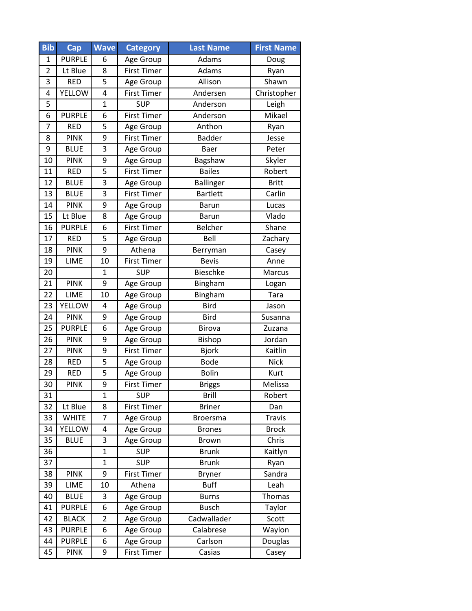| <b>Bib</b>     | Cap           | <b>Wave</b>    | <b>Category</b>    | <b>Last Name</b>    | <b>First Name</b> |
|----------------|---------------|----------------|--------------------|---------------------|-------------------|
| 1              | <b>PURPLE</b> | 6              | Age Group          | Adams               | Doug              |
| $\overline{2}$ | Lt Blue       | 8              | <b>First Timer</b> | Adams               | Ryan              |
| 3              | <b>RED</b>    | 5              | Age Group          | Allison             | Shawn             |
| 4              | <b>YELLOW</b> | 4              | <b>First Timer</b> | Andersen            | Christopher       |
| 5              |               | $\overline{1}$ | <b>SUP</b>         | Anderson            | Leigh             |
| 6              | <b>PURPLE</b> | 6              | <b>First Timer</b> | Anderson            | Mikael            |
| $\overline{7}$ | <b>RED</b>    | 5              | Age Group          | Anthon              | Ryan              |
| 8              | <b>PINK</b>   | 9              | <b>First Timer</b> | <b>Badder</b>       | Jesse             |
| 9              | <b>BLUE</b>   | 3              | Age Group          | Baer                | Peter             |
| 10             | <b>PINK</b>   | 9              | Age Group          | Bagshaw             | Skyler            |
| 11             | <b>RED</b>    | 5              | <b>First Timer</b> | <b>Bailes</b>       | Robert            |
| 12             | <b>BLUE</b>   | 3              | Age Group          | <b>Ballinger</b>    | <b>Britt</b>      |
| 13             | <b>BLUE</b>   | 3              | <b>First Timer</b> | <b>Bartlett</b>     | Carlin            |
| 14             | <b>PINK</b>   | 9              | Age Group          | <b>Barun</b>        | Lucas             |
| 15             | Lt Blue       | 8              | Age Group          | <b>Barun</b>        | Vlado             |
| 16             | <b>PURPLE</b> | 6              | <b>First Timer</b> | Belcher             | Shane             |
| 17             | <b>RED</b>    | 5              | Age Group          | Bell                | Zachary           |
| 18             | <b>PINK</b>   | 9              | Athena             | Berryman            | Casey             |
| 19             | LIME          | 10             | <b>First Timer</b> | <b>Bevis</b>        | Anne              |
| 20             |               | 1              | <b>SUP</b>         | Bieschke            | Marcus            |
| 21             | <b>PINK</b>   | 9              | Age Group          | Bingham             | Logan             |
| 22             | LIME          | 10             | Age Group          | Bingham             | Tara              |
| 23             | <b>YELLOW</b> | 4              | Age Group          | <b>Bird</b>         | Jason             |
| 24             | <b>PINK</b>   | 9              | Age Group          | <b>Bird</b>         | Susanna           |
| 25             | <b>PURPLE</b> | 6              | Age Group          | Birova              | Zuzana            |
| 26             | <b>PINK</b>   | 9              | Age Group          | Bishop              | Jordan            |
| 27             | <b>PINK</b>   | 9              | <b>First Timer</b> | <b>Bjork</b>        | Kaitlin           |
| 28             | <b>RED</b>    | 5              | Age Group          | <b>Bode</b>         | <b>Nick</b>       |
| 29             | <b>RED</b>    | 5              | Age Group          | <b>Bolin</b>        | Kurt              |
| 30             | <b>PINK</b>   | 9              | <b>First Timer</b> | <b>Briggs</b>       | Melissa           |
| 31             |               | $\overline{1}$ | <b>SUP</b>         | <b>Brill</b>        | Robert            |
| 32             | Lt Blue       | 8              | <b>First Timer</b> | <b>Briner</b>       | Dan               |
| 33             | <b>WHITE</b>  | 7              | Age Group          | <b>Broersma</b>     | <b>Travis</b>     |
| 34             | <b>YELLOW</b> | 4              | Age Group          | <b>Brones</b>       | <b>Brock</b>      |
| 35             | <b>BLUE</b>   | 3              | Age Group          | <b>Brown</b>        | Chris             |
| 36             |               | $\mathbf{1}$   | <b>SUP</b>         | <b>Brunk</b>        | Kaitlyn           |
| 37             |               | $\mathbf 1$    | <b>SUP</b>         | <b>Brunk</b>        | Ryan              |
| 38             | <b>PINK</b>   | 9              | <b>First Timer</b> | <b>Bryner</b>       | Sandra            |
| 39             | LIME          | 10             | Athena             | <b>Buff</b>         | Leah              |
| 40             | <b>BLUE</b>   | 3              | Age Group          | <b>Burns</b>        | Thomas            |
| 41             | <b>PURPLE</b> | 6              | Age Group          | <b>Busch</b>        | Taylor            |
| 42             | <b>BLACK</b>  | $\overline{2}$ | Age Group          | Cadwallader         | Scott             |
| 43             | <b>PURPLE</b> | 6              | Age Group          | Calabrese<br>Waylon |                   |
| 44             | <b>PURPLE</b> | 6              | Age Group          | Douglas<br>Carlson  |                   |
| 45             | <b>PINK</b>   | 9              | <b>First Timer</b> | Casias<br>Casey     |                   |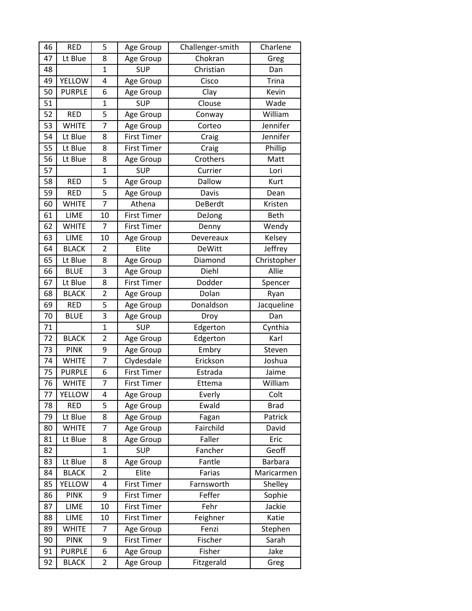| 46 | <b>RED</b>    | 5              | Age Group          | Challenger-smith   | Charlene       |
|----|---------------|----------------|--------------------|--------------------|----------------|
| 47 | Lt Blue       | 8              | Age Group          | Chokran            | Greg           |
| 48 |               | $\mathbf{1}$   | <b>SUP</b>         | Christian          | Dan            |
| 49 | <b>YELLOW</b> | 4              | Age Group          | Cisco              | <b>Trina</b>   |
| 50 | <b>PURPLE</b> | 6              | Age Group          | Clay               | Kevin          |
| 51 |               | $\mathbf{1}$   | <b>SUP</b>         | Clouse             | Wade           |
| 52 | <b>RED</b>    | 5              | Age Group          | Conway             | William        |
| 53 | <b>WHITE</b>  | 7              | Age Group          | Corteo             | Jennifer       |
| 54 | Lt Blue       | 8              | <b>First Timer</b> | Craig              | Jennifer       |
| 55 | Lt Blue       | 8              | <b>First Timer</b> | Craig              | Phillip        |
| 56 | Lt Blue       | 8              | Age Group          | Crothers           | Matt           |
| 57 |               | $\mathbf{1}$   | <b>SUP</b>         | Currier            | Lori           |
| 58 | <b>RED</b>    | 5              | Age Group          | Dallow             | Kurt           |
| 59 | <b>RED</b>    | 5              | Age Group          | Davis              | Dean           |
| 60 | <b>WHITE</b>  | 7              | Athena             | DeBerdt            | Kristen        |
| 61 | LIME          | 10             | <b>First Timer</b> | DeJong             | Beth           |
| 62 | <b>WHITE</b>  | 7              | <b>First Timer</b> | Denny              | Wendy          |
| 63 | LIME          | 10             | Age Group          | Devereaux          | Kelsey         |
| 64 | <b>BLACK</b>  | $\overline{2}$ | Elite              | <b>DeWitt</b>      | Jeffrey        |
| 65 | Lt Blue       | 8              | Age Group          | Diamond            | Christopher    |
| 66 | <b>BLUE</b>   | 3              | Age Group          | Diehl              | Allie          |
| 67 | Lt Blue       | 8              | <b>First Timer</b> | Dodder             | Spencer        |
| 68 | <b>BLACK</b>  | $\overline{2}$ | Age Group          | Dolan              | Ryan           |
| 69 | <b>RED</b>    | 5              | Age Group          | Donaldson          | Jacqueline     |
| 70 | <b>BLUE</b>   | 3              | Age Group          | Droy               | Dan            |
| 71 |               | $\mathbf{1}$   | <b>SUP</b>         | Edgerton           | Cynthia        |
| 72 | <b>BLACK</b>  | $\overline{c}$ | Age Group          | Edgerton           | Karl           |
| 73 | <b>PINK</b>   | 9              | Age Group          | Embry              | Steven         |
| 74 | <b>WHITE</b>  | 7              | Clydesdale         | Erickson           | Joshua         |
| 75 | <b>PURPLE</b> | 6              | <b>First Timer</b> | Estrada            | Jaime          |
| 76 | <b>WHITE</b>  | 7              | <b>First Timer</b> | Ettema             | William        |
| 77 | <b>YELLOW</b> | 4              | Age Group          | Everly             | Colt           |
| 78 | <b>RED</b>    | 5              | Age Group          | Ewald              | <b>Brad</b>    |
| 79 | Lt Blue       | 8              | Age Group          | Fagan              | Patrick        |
| 80 | <b>WHITE</b>  | 7              | Age Group          | Fairchild          | David          |
| 81 | Lt Blue       | 8              | Age Group          | Faller             | Eric           |
| 82 |               | $\mathbf{1}$   | <b>SUP</b>         | Fancher            | Geoff          |
| 83 | Lt Blue       | 8              | Age Group          | Fantle             | <b>Barbara</b> |
| 84 | <b>BLACK</b>  | 2              | Elite              | Farias             | Maricarmen     |
| 85 | <b>YELLOW</b> | 4              | <b>First Timer</b> | Farnsworth         | Shelley        |
| 86 | <b>PINK</b>   | 9              | <b>First Timer</b> | Feffer             | Sophie         |
| 87 | LIME          | 10             | <b>First Timer</b> | Fehr               | Jackie         |
| 88 | LIME          | 10             | <b>First Timer</b> | Feighner           | Katie          |
| 89 | <b>WHITE</b>  | 7              | Age Group          | Fenzi              | Stephen        |
| 90 | <b>PINK</b>   | 9              | First Timer        | Fischer            | Sarah          |
| 91 | <b>PURPLE</b> | 6              | Age Group          | Fisher             | Jake           |
| 92 | <b>BLACK</b>  | 2              | Age Group          | Fitzgerald<br>Greg |                |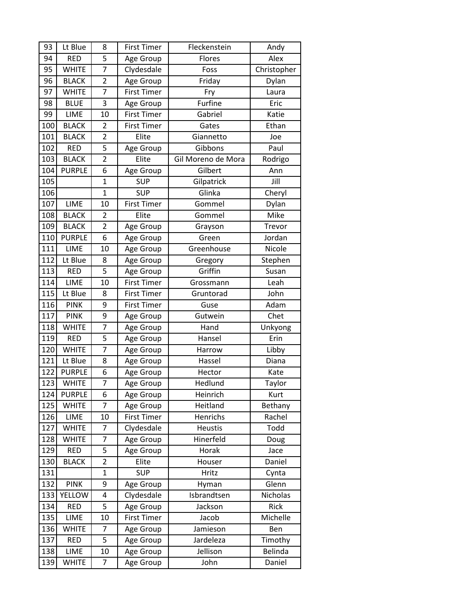| 93  | Lt Blue       | 8              | <b>First Timer</b> | Fleckenstein       | Andy        |
|-----|---------------|----------------|--------------------|--------------------|-------------|
| 94  | <b>RED</b>    | 5              | Age Group          | Flores             | Alex        |
| 95  | <b>WHITE</b>  | 7              | Clydesdale         | Foss               | Christopher |
| 96  | <b>BLACK</b>  | $\overline{2}$ | Age Group          | Friday             | Dylan       |
| 97  | <b>WHITE</b>  | 7              | <b>First Timer</b> | Fry                | Laura       |
| 98  | <b>BLUE</b>   | 3              | Age Group          | Furfine            | Eric        |
| 99  | LIME          | 10             | <b>First Timer</b> | Gabriel            | Katie       |
| 100 | <b>BLACK</b>  | $\overline{2}$ | <b>First Timer</b> | Gates              | Ethan       |
| 101 | <b>BLACK</b>  | $\overline{2}$ | Elite              | Giannetto          | Joe         |
| 102 | <b>RED</b>    | 5              | Age Group          | Gibbons            | Paul        |
| 103 | <b>BLACK</b>  | $\overline{2}$ | Elite              | Gil Moreno de Mora | Rodrigo     |
| 104 | <b>PURPLE</b> | 6              | Age Group          | Gilbert            | Ann         |
| 105 |               | $\mathbf{1}$   | <b>SUP</b>         | Gilpatrick         | Jill        |
| 106 |               | $\mathbf{1}$   | <b>SUP</b>         | Glinka             | Cheryl      |
| 107 | LIME          | 10             | <b>First Timer</b> | Gommel             | Dylan       |
| 108 | <b>BLACK</b>  | $\overline{2}$ | Elite              | Gommel             | Mike        |
| 109 | <b>BLACK</b>  | $\overline{2}$ | Age Group          | Grayson            | Trevor      |
| 110 | <b>PURPLE</b> | 6              | Age Group          | Green              | Jordan      |
| 111 | LIME          | 10             | Age Group          | Greenhouse         | Nicole      |
| 112 | Lt Blue       | 8              | Age Group          | Gregory            | Stephen     |
| 113 | <b>RED</b>    | 5              | Age Group          | Griffin            | Susan       |
| 114 | LIME          | 10             | <b>First Timer</b> | Grossmann          | Leah        |
| 115 | Lt Blue       | 8              | <b>First Timer</b> | Gruntorad          | John        |
| 116 | <b>PINK</b>   | 9              | <b>First Timer</b> | Guse               | Adam        |
| 117 | <b>PINK</b>   | 9              | Age Group          | Gutwein            | Chet        |
| 118 | <b>WHITE</b>  | 7              | Age Group          | Hand               | Unkyong     |
| 119 | <b>RED</b>    | 5              | Age Group          | Hansel             | Erin        |
| 120 | <b>WHITE</b>  | $\overline{7}$ | Age Group          | Harrow             | Libby       |
| 121 | Lt Blue       | 8              | Age Group          | Hassel             | Diana       |
| 122 | <b>PURPLE</b> | 6              | Age Group          | Hector             | Kate        |
| 123 | <b>WHITE</b>  | $\overline{7}$ | Age Group          | Hedlund            | Taylor      |
| 124 | <b>PURPLE</b> | 6              | Age Group          | Heinrich           | Kurt        |
| 125 | <b>WHITE</b>  | $\overline{7}$ | Age Group          | Heitland           | Bethany     |
| 126 | LIME          | 10             | <b>First Timer</b> | Henrichs           | Rachel      |
| 127 | <b>WHITE</b>  | 7              | Clydesdale         | Heustis            | Todd        |
| 128 | <b>WHITE</b>  | 7              | Age Group          | Hinerfeld          | Doug        |
| 129 | <b>RED</b>    | 5              | Age Group          | Horak              | Jace        |
| 130 | <b>BLACK</b>  | $\overline{2}$ | Elite              | Houser             | Daniel      |
| 131 |               | $\mathbf{1}$   | <b>SUP</b>         | Hritz              | Cynta       |
| 132 | <b>PINK</b>   | 9              | Age Group          | Hyman              | Glenn       |
| 133 | <b>YELLOW</b> | 4              | Clydesdale         | Isbrandtsen        | Nicholas    |
| 134 | <b>RED</b>    | 5              | Age Group          | Jackson            | Rick        |
| 135 | LIME          | 10             | <b>First Timer</b> | Jacob              | Michelle    |
| 136 | <b>WHITE</b>  | 7              | Age Group          | Jamieson           | Ben         |
| 137 | <b>RED</b>    | 5              | Age Group          | Jardeleza          | Timothy     |
| 138 | LIME          | 10             | Age Group          | Jellison           | Belinda     |
| 139 | <b>WHITE</b>  | 7              | Age Group          | John               | Daniel      |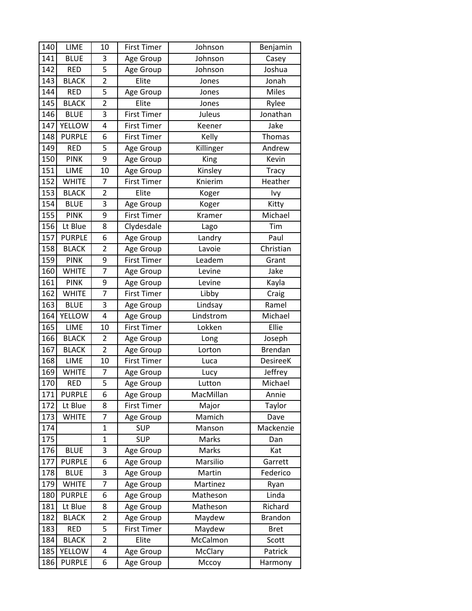| 140 | LIME          | 10             | <b>First Timer</b> | Johnson   | Benjamin        |
|-----|---------------|----------------|--------------------|-----------|-----------------|
| 141 | <b>BLUE</b>   | 3              | Age Group          | Johnson   | Casey           |
| 142 | <b>RED</b>    | 5              | Age Group          | Johnson   | Joshua          |
| 143 | <b>BLACK</b>  | $\overline{2}$ | Elite              | Jones     | Jonah           |
| 144 | <b>RED</b>    | 5              | Age Group          | Jones     | <b>Miles</b>    |
| 145 | <b>BLACK</b>  | $\overline{2}$ | Elite              | Jones     | Rylee           |
| 146 | <b>BLUE</b>   | 3              | <b>First Timer</b> | Juleus    | Jonathan        |
| 147 | <b>YELLOW</b> | 4              | <b>First Timer</b> | Keener    | Jake            |
| 148 | <b>PURPLE</b> | 6              | <b>First Timer</b> | Kelly     | Thomas          |
| 149 | <b>RED</b>    | 5              | Age Group          | Killinger | Andrew          |
| 150 | <b>PINK</b>   | 9              | Age Group          | King      | Kevin           |
| 151 | LIME          | 10             | Age Group          | Kinsley   | <b>Tracy</b>    |
| 152 | <b>WHITE</b>  | 7              | <b>First Timer</b> | Knierim   | Heather         |
| 153 | <b>BLACK</b>  | $\overline{2}$ | Elite              | Koger     | Ivy             |
| 154 | <b>BLUE</b>   | 3              | Age Group          | Koger     | Kitty           |
| 155 | <b>PINK</b>   | 9              | <b>First Timer</b> | Kramer    | Michael         |
| 156 | Lt Blue       | 8              | Clydesdale         | Lago      | Tim             |
| 157 | <b>PURPLE</b> | 6              | Age Group          | Landry    | Paul            |
| 158 | <b>BLACK</b>  | $\overline{2}$ | Age Group          | Lavoie    | Christian       |
| 159 | <b>PINK</b>   | 9              | <b>First Timer</b> | Leadem    | Grant           |
| 160 | <b>WHITE</b>  | 7              | Age Group          | Levine    | Jake            |
| 161 | <b>PINK</b>   | 9              | Age Group          | Levine    | Kayla           |
| 162 | <b>WHITE</b>  | $\overline{7}$ | <b>First Timer</b> | Libby     | Craig           |
| 163 | <b>BLUE</b>   | 3              | Age Group          | Lindsay   | Ramel           |
| 164 | YELLOW        | 4              | Age Group          | Lindstrom | Michael         |
| 165 | LIME          | 10             | <b>First Timer</b> | Lokken    | Ellie           |
| 166 | <b>BLACK</b>  | $\overline{2}$ | Age Group          | Long      | Joseph          |
| 167 | <b>BLACK</b>  | $\overline{2}$ | Age Group          | Lorton    | <b>Brendan</b>  |
| 168 | LIME          | 10             | <b>First Timer</b> | Luca      | <b>DesireeK</b> |
| 169 | <b>WHITE</b>  | 7              | Age Group          | Lucy      | Jeffrey         |
| 170 | <b>RED</b>    | 5              | Age Group          | Lutton    | Michael         |
| 171 | <b>PURPLE</b> | 6              | Age Group          | MacMillan | Annie           |
| 172 | Lt Blue       | 8              | <b>First Timer</b> | Major     | Taylor          |
| 173 | <b>WHITE</b>  | 7              | Age Group          | Mamich    | Dave            |
| 174 |               | $\mathbf{1}$   | <b>SUP</b>         | Manson    | Mackenzie       |
| 175 |               | $\mathbf{1}$   | <b>SUP</b>         | Marks     | Dan             |
| 176 | <b>BLUE</b>   | 3              | Age Group          | Marks     | Kat             |
| 177 | <b>PURPLE</b> | 6              | Age Group          | Marsilio  | Garrett         |
| 178 | <b>BLUE</b>   | 3              | Age Group          | Martin    | Federico        |
| 179 | <b>WHITE</b>  | 7              | Age Group          | Martinez  | Ryan            |
| 180 | <b>PURPLE</b> | 6              | Age Group          | Matheson  | Linda           |
| 181 | Lt Blue       | 8              | Age Group          | Matheson  | Richard         |
| 182 | <b>BLACK</b>  | 2              | Age Group          | Maydew    | <b>Brandon</b>  |
| 183 | <b>RED</b>    | 5              | <b>First Timer</b> | Maydew    | <b>Bret</b>     |
| 184 | <b>BLACK</b>  | $\overline{2}$ | Elite              | McCalmon  | Scott           |
| 185 | <b>YELLOW</b> | 4              | Age Group          | McClary   | Patrick         |
| 186 | <b>PURPLE</b> | 6              | Age Group          | Mccoy     | Harmony         |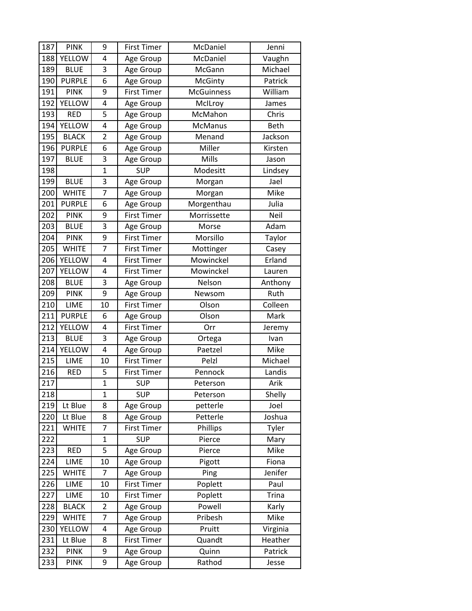| 187 | <b>PINK</b>   | 9              | <b>First Timer</b> | McDaniel          | Jenni       |
|-----|---------------|----------------|--------------------|-------------------|-------------|
| 188 | <b>YELLOW</b> | 4              | Age Group          | McDaniel          | Vaughn      |
| 189 | <b>BLUE</b>   | 3              | Age Group          | McGann            | Michael     |
| 190 | <b>PURPLE</b> | 6              | Age Group          | McGinty           | Patrick     |
| 191 | <b>PINK</b>   | 9              | <b>First Timer</b> | <b>McGuinness</b> | William     |
| 192 | YELLOW        | 4              | Age Group          | McILroy           | James       |
| 193 | <b>RED</b>    | 5              | Age Group          | McMahon           | Chris       |
| 194 | <b>YELLOW</b> | 4              | Age Group          | McManus           | <b>Beth</b> |
| 195 | <b>BLACK</b>  | $\overline{2}$ | Age Group          | Menand            | Jackson     |
| 196 | <b>PURPLE</b> | 6              | Age Group          | Miller            | Kirsten     |
| 197 | <b>BLUE</b>   | 3              | Age Group          | Mills             | Jason       |
| 198 |               | $\overline{1}$ | <b>SUP</b>         | Modesitt          | Lindsey     |
| 199 | <b>BLUE</b>   | 3              | Age Group          | Morgan            | Jael        |
| 200 | <b>WHITE</b>  | $\overline{7}$ | Age Group          | Morgan            | Mike        |
| 201 | <b>PURPLE</b> | 6              | Age Group          | Morgenthau        | Julia       |
| 202 | <b>PINK</b>   | 9              | <b>First Timer</b> | Morrissette       | Neil        |
| 203 | <b>BLUE</b>   | 3              | Age Group          | Morse             | Adam        |
| 204 | <b>PINK</b>   | 9              | <b>First Timer</b> | Morsillo          | Taylor      |
| 205 | <b>WHITE</b>  | $\overline{7}$ | <b>First Timer</b> | Mottinger         | Casey       |
| 206 | <b>YELLOW</b> | 4              | <b>First Timer</b> | Mowinckel         | Erland      |
| 207 | <b>YELLOW</b> | 4              | <b>First Timer</b> | Mowinckel         | Lauren      |
| 208 | <b>BLUE</b>   | 3              | Age Group          | Nelson            | Anthony     |
| 209 | <b>PINK</b>   | 9              | Age Group          | Newsom            | Ruth        |
| 210 | LIME          | 10             | <b>First Timer</b> | Olson             | Colleen     |
| 211 | <b>PURPLE</b> | 6              | Age Group          | Olson             | Mark        |
| 212 | <b>YELLOW</b> | 4              | <b>First Timer</b> | Orr               | Jeremy      |
| 213 | <b>BLUE</b>   | 3              | Age Group          | Ortega            | Ivan        |
| 214 | YELLOW        | 4              | Age Group          | Paetzel           | Mike        |
| 215 | LIME          | 10             | <b>First Timer</b> | Pelzl             | Michael     |
| 216 | <b>RED</b>    | 5              | <b>First Timer</b> | Pennock           | Landis      |
| 217 |               | $\overline{1}$ | <b>SUP</b>         | Peterson          | Arik        |
| 218 |               | $\mathbf{1}$   | <b>SUP</b>         | Peterson          | Shelly      |
| 219 | Lt Blue       | 8              | Age Group          | petterle          | Joel        |
| 220 | Lt Blue       | 8              | Age Group          | Petterle          | Joshua      |
| 221 | <b>WHITE</b>  | 7              | <b>First Timer</b> | Phillips          | Tyler       |
| 222 |               | $\mathbf{1}$   | <b>SUP</b>         | Pierce            | Mary        |
| 223 | <b>RED</b>    | 5              | Age Group          | Pierce            | Mike        |
| 224 | LIME          | 10             | Age Group          | Pigott            | Fiona       |
| 225 | <b>WHITE</b>  | 7              | Age Group          | Ping              | Jenifer     |
| 226 | LIME          | 10             | <b>First Timer</b> | Poplett           | Paul        |
| 227 | LIME          | 10             | <b>First Timer</b> | Poplett           | Trina       |
| 228 | <b>BLACK</b>  | $\overline{2}$ | Age Group          | Powell            | Karly       |
| 229 | <b>WHITE</b>  | 7              | Age Group          | Pribesh           | Mike        |
| 230 | <b>YELLOW</b> | 4              | Age Group          | Pruitt            | Virginia    |
| 231 | Lt Blue       | 8              | First Timer        | Quandt            | Heather     |
| 232 | <b>PINK</b>   | 9              | Age Group          | Quinn             | Patrick     |
| 233 | <b>PINK</b>   | 9              | Age Group          | Rathod            | Jesse       |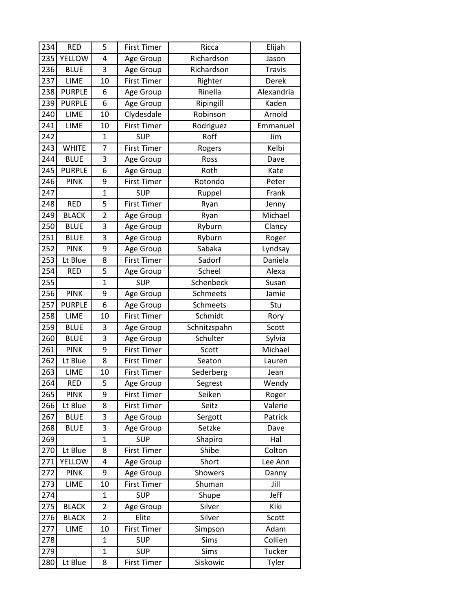| 234 | <b>RED</b>    | 5              | <b>First Timer</b> | Ricca        | Elijah        |
|-----|---------------|----------------|--------------------|--------------|---------------|
| 235 | YELLOW        | 4              | Age Group          | Richardson   | Jason         |
| 236 | <b>BLUE</b>   | 3              | Age Group          | Richardson   | <b>Travis</b> |
| 237 | LIME          | 10             | <b>First Timer</b> | Righter      | Derek         |
| 238 | <b>PURPLE</b> | 6              | Age Group          | Rinella      | Alexandria    |
| 239 | <b>PURPLE</b> | 6              | Age Group          | Ripingill    | Kaden         |
| 240 | LIME          | 10             | Clydesdale         | Robinson     | Arnold        |
| 241 | LIME          | 10             | <b>First Timer</b> | Rodriguez    | Emmanuel      |
| 242 |               | $\mathbf{1}$   | <b>SUP</b>         | Roff         | Jim           |
| 243 | <b>WHITE</b>  | 7              | <b>First Timer</b> | Rogers       | Kelbi         |
| 244 | <b>BLUE</b>   | 3              | Age Group          | Ross         | Dave          |
| 245 | <b>PURPLE</b> | 6              | Age Group          | Roth         | Kate          |
| 246 | <b>PINK</b>   | 9              | <b>First Timer</b> | Rotondo      | Peter         |
| 247 |               | $\overline{1}$ | <b>SUP</b>         | Ruppel       | Frank         |
| 248 | <b>RED</b>    | 5              | <b>First Timer</b> | Ryan         | Jenny         |
| 249 | <b>BLACK</b>  | $\overline{2}$ | Age Group          | Ryan         | Michael       |
| 250 | <b>BLUE</b>   | 3              | Age Group          | Ryburn       | Clancy        |
| 251 | <b>BLUE</b>   | 3              | Age Group          | Ryburn       | Roger         |
| 252 | <b>PINK</b>   | 9              | Age Group          | Sabaka       | Lyndsay       |
| 253 | Lt Blue       | 8              | <b>First Timer</b> | Sadorf       | Daniela       |
| 254 | <b>RED</b>    | 5              | Age Group          | Scheel       | Alexa         |
| 255 |               | $\mathbf{1}$   | <b>SUP</b>         | Schenbeck    | Susan         |
| 256 | <b>PINK</b>   | 9              | Age Group          | Schmeets     | Jamie         |
| 257 | <b>PURPLE</b> | 6              | Age Group          | Schmeets     | Stu           |
| 258 | LIME          | 10             | <b>First Timer</b> | Schmidt      | Rory          |
| 259 | <b>BLUE</b>   | 3              | Age Group          | Schnitzspahn | Scott         |
| 260 | <b>BLUE</b>   | 3              | Age Group          | Schulter     | Sylvia        |
| 261 | <b>PINK</b>   | 9              | <b>First Timer</b> | Scott        | Michael       |
| 262 | Lt Blue       | 8              | <b>First Timer</b> | Seaton       | Lauren        |
| 263 | LIME          | 10             | <b>First Timer</b> | Sederberg    | Jean          |
| 264 | <b>RED</b>    | 5              | Age Group          | Segrest      | Wendy         |
| 265 | <b>PINK</b>   | 9              | <b>First Timer</b> | Seiken       | Roger         |
| 266 | Lt Blue       | 8              | <b>First Timer</b> | Seitz        | Valerie       |
| 267 | <b>BLUE</b>   | 3              | Age Group          | Sergott      | Patrick       |
| 268 | <b>BLUE</b>   | 3              | Age Group          | Setzke       | Dave          |
| 269 |               | $\mathbf{1}$   | <b>SUP</b>         | Shapiro      | Hal           |
| 270 | Lt Blue       | 8              | <b>First Timer</b> | Shibe        | Colton        |
| 271 | YELLOW        | 4              | Age Group          | Short        | Lee Ann       |
| 272 | <b>PINK</b>   | 9              | Age Group          | Showers      | Danny         |
| 273 | LIME          | 10             | <b>First Timer</b> | Shuman       | Jill          |
| 274 |               | 1              | <b>SUP</b>         | Shupe        | Jeff          |
| 275 | <b>BLACK</b>  | $\overline{2}$ | Age Group          | Silver       | Kiki          |
| 276 | <b>BLACK</b>  | $\overline{2}$ | Elite              | Silver       | Scott         |
| 277 | LIME          | 10             | <b>First Timer</b> | Simpson      | Adam          |
| 278 |               | 1              | <b>SUP</b>         | Sims         | Collien       |
| 279 |               | $\mathbf{1}$   | <b>SUP</b>         | Sims         | Tucker        |
| 280 | Lt Blue       | 8              | <b>First Timer</b> | Siskowic     | Tyler         |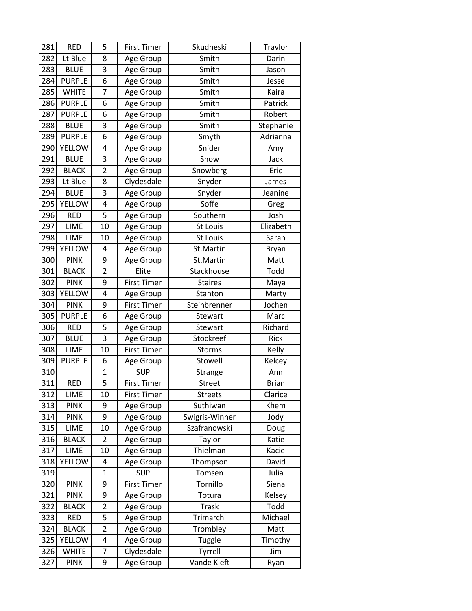| 281 | <b>RED</b>    | 5              | <b>First Timer</b> | Skudneski      | Travlor      |
|-----|---------------|----------------|--------------------|----------------|--------------|
| 282 | Lt Blue       | 8              | Age Group          | Smith          | Darin        |
| 283 | <b>BLUE</b>   | 3              | Age Group          | Smith          | Jason        |
| 284 | <b>PURPLE</b> | 6              | Age Group          | Smith          | Jesse        |
| 285 | <b>WHITE</b>  | 7              | Age Group          | Smith          | Kaira        |
| 286 | <b>PURPLE</b> | 6              | Age Group          | Smith          | Patrick      |
| 287 | <b>PURPLE</b> | 6              | Age Group          | Smith          | Robert       |
| 288 | <b>BLUE</b>   | 3              | Age Group          | Smith          | Stephanie    |
| 289 | <b>PURPLE</b> | 6              | Age Group          | Smyth          | Adrianna     |
| 290 | <b>YELLOW</b> | 4              | Age Group          | Snider         | Amy          |
| 291 | <b>BLUE</b>   | 3              | Age Group          | Snow           | Jack         |
| 292 | <b>BLACK</b>  | $\overline{2}$ | Age Group          | Snowberg       | Eric         |
| 293 | Lt Blue       | 8              | Clydesdale         | Snyder         | James        |
| 294 | <b>BLUE</b>   | 3              | Age Group          | Snyder         | Jeanine      |
| 295 | <b>YELLOW</b> | 4              | Age Group          | Soffe          | Greg         |
| 296 | <b>RED</b>    | 5              | Age Group          | Southern       | Josh         |
| 297 | LIME          | 10             | Age Group          | St Louis       | Elizabeth    |
| 298 | LIME          | 10             | Age Group          | St Louis       | Sarah        |
| 299 | YELLOW        | 4              | Age Group          | St.Martin      | <b>Bryan</b> |
| 300 | <b>PINK</b>   | 9              | Age Group          | St.Martin      | Matt         |
| 301 | <b>BLACK</b>  | $\overline{2}$ | Elite              | Stackhouse     | Todd         |
| 302 | <b>PINK</b>   | 9              | <b>First Timer</b> | <b>Staires</b> | Maya         |
| 303 | YELLOW        | 4              | Age Group          | Stanton        | Marty        |
| 304 | <b>PINK</b>   | 9              | <b>First Timer</b> | Steinbrenner   | Jochen       |
| 305 | <b>PURPLE</b> | 6              | Age Group          | Stewart        | Marc         |
| 306 | <b>RED</b>    | 5              | Age Group          | Stewart        | Richard      |
| 307 | <b>BLUE</b>   | 3              | Age Group          | Stockreef      | Rick         |
| 308 | LIME          | 10             | <b>First Timer</b> | <b>Storms</b>  | Kelly        |
| 309 | <b>PURPLE</b> | 6              | Age Group          | Stowell        | Kelcey       |
| 310 |               | 1              | <b>SUP</b>         | Strange        | Ann          |
| 311 | <b>RED</b>    | 5              | <b>First Timer</b> | Street         | <b>Brian</b> |
| 312 | LIME          | 10             | First Timer        | <b>Streets</b> | Clarice      |
| 313 | <b>PINK</b>   | 9              | Age Group          | Suthiwan       | Khem         |
| 314 | <b>PINK</b>   | 9              | Age Group          | Swigris-Winner | Jody         |
| 315 | LIME          | 10             | Age Group          | Szafranowski   | Doug         |
| 316 | <b>BLACK</b>  | $\overline{2}$ | Age Group          | Taylor         | Katie        |
| 317 | LIME          | 10             | Age Group          | Thielman       | Kacie        |
| 318 | <b>YELLOW</b> | 4              | Age Group          | Thompson       | David        |
| 319 |               | $\mathbf{1}$   | <b>SUP</b>         | Tomsen         | Julia        |
| 320 | <b>PINK</b>   | 9              | <b>First Timer</b> | Tornillo       | Siena        |
| 321 | <b>PINK</b>   | 9              | Age Group          | Totura         | Kelsey       |
| 322 | <b>BLACK</b>  | $\overline{2}$ | Age Group          | <b>Trask</b>   | Todd         |
| 323 | <b>RED</b>    | 5              | Age Group          | Trimarchi      | Michael      |
| 324 | <b>BLACK</b>  | $\overline{2}$ | Age Group          | Trombley       | Matt         |
| 325 | YELLOW        | 4              | Age Group          | Tuggle         | Timothy      |
| 326 | <b>WHITE</b>  | 7              | Clydesdale         | Tyrrell        | Jim          |
| 327 | <b>PINK</b>   | 9              | Age Group          | Vande Kieft    | Ryan         |